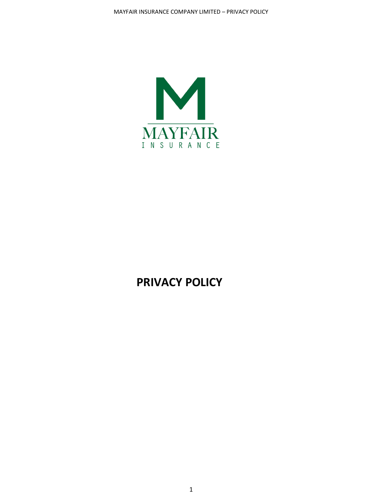

# **PRIVACY POLICY**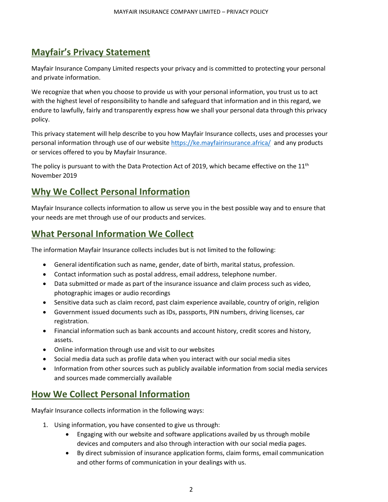## **Mayfair's Privacy Statement**

Mayfair Insurance Company Limited respects your privacy and is committed to protecting your personal and private information.

We recognize that when you choose to provide us with your personal information, you trust us to act with the highest level of responsibility to handle and safeguard that information and in this regard, we endure to lawfully, fairly and transparently express how we shall your personal data through this privacy policy.

This privacy statement will help describe to you how Mayfair Insurance collects, uses and processes your personal information through use of our website <https://ke.mayfairinsurance.africa/>and any products or services offered to you by Mayfair Insurance.

The policy is pursuant to with the Data Protection Act of 2019, which became effective on the  $11<sup>th</sup>$ November 2019

#### **Why We Collect Personal Information**

Mayfair Insurance collects information to allow us serve you in the best possible way and to ensure that your needs are met through use of our products and services.

#### **What Personal Information We Collect**

The information Mayfair Insurance collects includes but is not limited to the following:

- General identification such as name, gender, date of birth, marital status, profession.
- Contact information such as postal address, email address, telephone number.
- Data submitted or made as part of the insurance issuance and claim process such as video, photographic images or audio recordings
- Sensitive data such as claim record, past claim experience available, country of origin, religion
- Government issued documents such as IDs, passports, PIN numbers, driving licenses, car registration.
- Financial information such as bank accounts and account history, credit scores and history, assets.
- Online information through use and visit to our websites
- Social media data such as profile data when you interact with our social media sites
- Information from other sources such as publicly available information from social media services and sources made commercially available

#### **How We Collect Personal Information**

Mayfair Insurance collects information in the following ways:

- 1. Using information, you have consented to give us through:
	- Engaging with our website and software applications availed by us through mobile devices and computers and also through interaction with our social media pages.
	- By direct submission of insurance application forms, claim forms, email communication and other forms of communication in your dealings with us.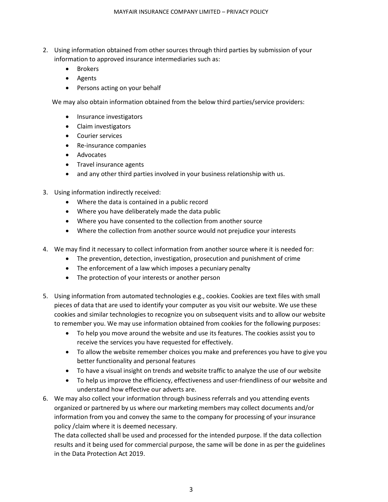- 2. Using information obtained from other sources through third parties by submission of your information to approved insurance intermediaries such as:
	- Brokers
	- Agents
	- Persons acting on your behalf

We may also obtain information obtained from the below third parties/service providers:

- Insurance investigators
- Claim investigators
- Courier services
- Re-insurance companies
- Advocates
- Travel insurance agents
- and any other third parties involved in your business relationship with us.
- 3. Using information indirectly received:
	- Where the data is contained in a public record
	- Where you have deliberately made the data public
	- Where you have consented to the collection from another source
	- Where the collection from another source would not prejudice your interests
- 4. We may find it necessary to collect information from another source where it is needed for:
	- The prevention, detection, investigation, prosecution and punishment of crime
	- The enforcement of a law which imposes a pecuniary penalty
	- The protection of your interests or another person
- 5. Using information from automated technologies e.g., cookies. Cookies are text files with small pieces of data that are used to identify your computer as you visit our website. We use these cookies and similar technologies to recognize you on subsequent visits and to allow our website to remember you. We may use information obtained from cookies for the following purposes:
	- To help you move around the website and use its features. The cookies assist you to receive the services you have requested for effectively.
	- To allow the website remember choices you make and preferences you have to give you better functionality and personal features
	- To have a visual insight on trends and website traffic to analyze the use of our website
	- To help us improve the efficiency, effectiveness and user-friendliness of our website and understand how effective our adverts are.
- 6. We may also collect your information through business referrals and you attending events organized or partnered by us where our marketing members may collect documents and/or information from you and convey the same to the company for processing of your insurance policy /claim where it is deemed necessary.

The data collected shall be used and processed for the intended purpose. If the data collection results and it being used for commercial purpose, the same will be done in as per the guidelines in the Data Protection Act 2019.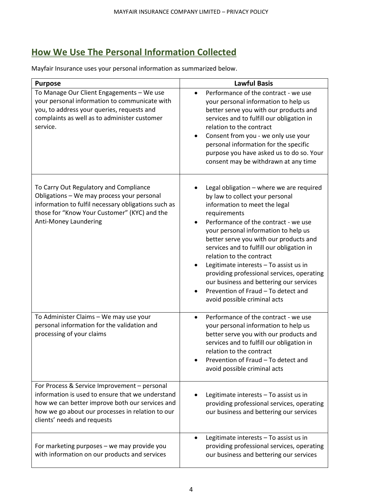## **How We Use The Personal Information Collected**

Mayfair Insurance uses your personal information as summarized below.

| <b>Purpose</b>                                                                                                                                                                                                                         | <b>Lawful Basis</b>                                                                                                                                                                                                                                                                                                                                                                                                                                                                                                                                    |
|----------------------------------------------------------------------------------------------------------------------------------------------------------------------------------------------------------------------------------------|--------------------------------------------------------------------------------------------------------------------------------------------------------------------------------------------------------------------------------------------------------------------------------------------------------------------------------------------------------------------------------------------------------------------------------------------------------------------------------------------------------------------------------------------------------|
| To Manage Our Client Engagements - We use<br>your personal information to communicate with<br>you, to address your queries, requests and<br>complaints as well as to administer customer<br>service.                                   | Performance of the contract - we use<br>your personal information to help us<br>better serve you with our products and<br>services and to fulfill our obligation in<br>relation to the contract<br>Consent from you - we only use your<br>personal information for the specific<br>purpose you have asked us to do so. Your<br>consent may be withdrawn at any time                                                                                                                                                                                    |
| To Carry Out Regulatory and Compliance<br>Obligations - We may process your personal<br>information to fulfil necessary obligations such as<br>those for "Know Your Customer" (KYC) and the<br>Anti-Money Laundering                   | Legal obligation - where we are required<br>by law to collect your personal<br>information to meet the legal<br>requirements<br>Performance of the contract - we use<br>$\bullet$<br>your personal information to help us<br>better serve you with our products and<br>services and to fulfill our obligation in<br>relation to the contract<br>Legitimate interests - To assist us in<br>providing professional services, operating<br>our business and bettering our services<br>Prevention of Fraud - To detect and<br>avoid possible criminal acts |
| To Administer Claims - We may use your<br>personal information for the validation and<br>processing of your claims                                                                                                                     | Performance of the contract - we use<br>$\bullet$<br>your personal information to help us<br>better serve you with our products and<br>services and to fulfill our obligation in<br>relation to the contract<br>Prevention of Fraud - To detect and<br>avoid possible criminal acts                                                                                                                                                                                                                                                                    |
| For Process & Service Improvement - personal<br>information is used to ensure that we understand<br>how we can better improve both our services and<br>how we go about our processes in relation to our<br>clients' needs and requests | Legitimate interests - To assist us in<br>providing professional services, operating<br>our business and bettering our services                                                                                                                                                                                                                                                                                                                                                                                                                        |
| For marketing purposes - we may provide you<br>with information on our products and services                                                                                                                                           | Legitimate interests - To assist us in<br>providing professional services, operating<br>our business and bettering our services                                                                                                                                                                                                                                                                                                                                                                                                                        |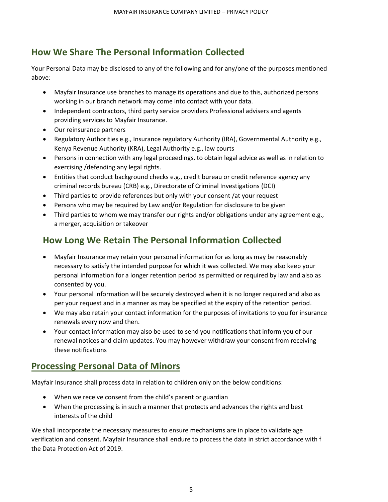#### **How We Share The Personal Information Collected**

Your Personal Data may be disclosed to any of the following and for any/one of the purposes mentioned above:

- Mayfair Insurance use branches to manage its operations and due to this, authorized persons working in our branch network may come into contact with your data.
- Independent contractors, third party service providers Professional advisers and agents providing services to Mayfair Insurance.
- Our reinsurance partners
- Regulatory Authorities e.g., Insurance regulatory Authority (IRA), Governmental Authority e.g., Kenya Revenue Authority (KRA), Legal Authority e.g., law courts
- Persons in connection with any legal proceedings, to obtain legal advice as well as in relation to exercising /defending any legal rights.
- Entities that conduct background checks e.g., credit bureau or credit reference agency any criminal records bureau (CRB) e.g., Directorate of Criminal Investigations (DCI)
- Third parties to provide references but only with your consent /at your request
- Persons who may be required by Law and/or Regulation for disclosure to be given
- Third parties to whom we may transfer our rights and/or obligations under any agreement e.g., a merger, acquisition or takeover

#### **How Long We Retain The Personal Information Collected**

- Mayfair Insurance may retain your personal information for as long as may be reasonably necessary to satisfy the intended purpose for which it was collected. We may also keep your personal information for a longer retention period as permitted or required by law and also as consented by you.
- Your personal information will be securely destroyed when it is no longer required and also as per your request and in a manner as may be specified at the expiry of the retention period.
- We may also retain your contact information for the purposes of invitations to you for insurance renewals every now and then.
- Your contact information may also be used to send you notifications that inform you of our renewal notices and claim updates. You may however withdraw your consent from receiving these notifications

#### **Processing Personal Data of Minors**

Mayfair Insurance shall process data in relation to children only on the below conditions:

- When we receive consent from the child's parent or guardian
- When the processing is in such a manner that protects and advances the rights and best interests of the child

We shall incorporate the necessary measures to ensure mechanisms are in place to validate age verification and consent. Mayfair Insurance shall endure to process the data in strict accordance with f the Data Protection Act of 2019.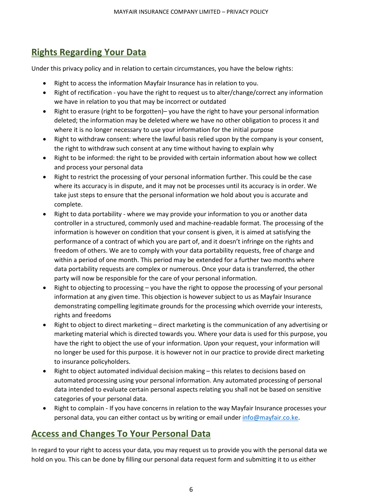### **Rights Regarding Your Data**

Under this privacy policy and in relation to certain circumstances, you have the below rights:

- Right to access the information Mayfair Insurance has in relation to you.
- Right of rectification you have the right to request us to alter/change/correct any information we have in relation to you that may be incorrect or outdated
- Right to erasure (right to be forgotten)– you have the right to have your personal information deleted; the information may be deleted where we have no other obligation to process it and where it is no longer necessary to use your information for the initial purpose
- Right to withdraw consent: where the lawful basis relied upon by the company is your consent, the right to withdraw such consent at any time without having to explain why
- Right to be informed: the right to be provided with certain information about how we collect and process your personal data
- Right to restrict the processing of your personal information further. This could be the case where its accuracy is in dispute, and it may not be processes until its accuracy is in order. We take just steps to ensure that the personal information we hold about you is accurate and complete.
- Right to data portability where we may provide your information to you or another data controller in a structured, commonly used and machine-readable format. The processing of the information is however on condition that your consent is given, it is aimed at satisfying the performance of a contract of which you are part of, and it doesn't infringe on the rights and freedom of others. We are to comply with your data portability requests, free of charge and within a period of one month. This period may be extended for a further two months where data portability requests are complex or numerous. Once your data is transferred, the other party will now be responsible for the care of your personal information.
- Right to objecting to processing you have the right to oppose the processing of your personal information at any given time. This objection is however subject to us as Mayfair Insurance demonstrating compelling legitimate grounds for the processing which override your interests, rights and freedoms
- Right to object to direct marketing direct marketing is the communication of any advertising or marketing material which is directed towards you. Where your data is used for this purpose, you have the right to object the use of your information. Upon your request, your information will no longer be used for this purpose. it is however not in our practice to provide direct marketing to insurance policyholders.
- Right to object automated individual decision making this relates to decisions based on automated processing using your personal information. Any automated processing of personal data intended to evaluate certain personal aspects relating you shall not be based on sensitive categories of your personal data.
- Right to complain If you have concerns in relation to the way Mayfair Insurance processes your personal data, you can either contact us by writing or email unde[r info@mayfair.co.ke.](mailto:info@mayfair.co.ke)

#### **Access and Changes To Your Personal Data**

In regard to your right to access your data, you may request us to provide you with the personal data we hold on you. This can be done by filling our personal data request form and submitting it to us either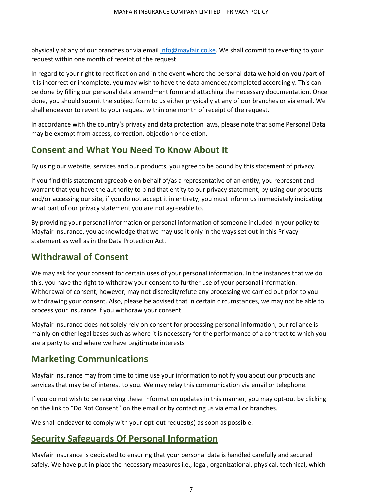physically at any of our branches or via emai[l info@mayfair.co.ke.](mailto:info@mayfair.co.ke) We shall commit to reverting to your request within one month of receipt of the request.

In regard to your right to rectification and in the event where the personal data we hold on you /part of it is incorrect or incomplete, you may wish to have the data amended/completed accordingly. This can be done by filling our personal data amendment form and attaching the necessary documentation. Once done, you should submit the subject form to us either physically at any of our branches or via email. We shall endeavor to revert to your request within one month of receipt of the request.

In accordance with the country's privacy and data protection laws, please note that some Personal Data may be exempt from access, correction, objection or deletion.

#### **Consent and What You Need To Know About It**

By using our website, services and our products, you agree to be bound by this statement of privacy.

If you find this statement agreeable on behalf of/as a representative of an entity, you represent and warrant that you have the authority to bind that entity to our privacy statement, by using our products and/or accessing our site, if you do not accept it in entirety, you must inform us immediately indicating what part of our privacy statement you are not agreeable to.

By providing your personal information or personal information of someone included in your policy to Mayfair Insurance, you acknowledge that we may use it only in the ways set out in this Privacy statement as well as in the Data Protection Act.

#### **Withdrawal of Consent**

We may ask for your consent for certain uses of your personal information. In the instances that we do this, you have the right to withdraw your consent to further use of your personal information. Withdrawal of consent, however, may not discredit/refute any processing we carried out prior to you withdrawing your consent. Also, please be advised that in certain circumstances, we may not be able to process your insurance if you withdraw your consent.

Mayfair Insurance does not solely rely on consent for processing personal information; our reliance is mainly on other legal bases such as where it is necessary for the performance of a contract to which you are a party to and where we have Legitimate interests

#### **Marketing Communications**

Mayfair Insurance may from time to time use your information to notify you about our products and services that may be of interest to you. We may relay this communication via email or telephone.

If you do not wish to be receiving these information updates in this manner, you may opt-out by clicking on the link to "Do Not Consent" on the email or by contacting us via email or branches.

We shall endeavor to comply with your opt-out request(s) as soon as possible.

#### **Security Safeguards Of Personal Information**

Mayfair Insurance is dedicated to ensuring that your personal data is handled carefully and secured safely. We have put in place the necessary measures i.e., legal, organizational, physical, technical, which